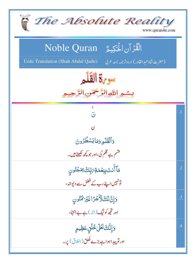| The Absolute Reality<br>www.quran4u.com                                                  |                 |
|------------------------------------------------------------------------------------------|-----------------|
| الْقُرْآنِ الْحَكِيمُ ِ Noble Quran                                                      |                 |
| <b>Urdu Translation (Shah Abdul Qadir)</b><br>(حضرت شاه عبد القادر) اردوتر جمه بمعه عربي |                 |
| سوية القلم                                                                               |                 |
| بِسْمِ اللَّهِ الرَّحْمَرِ.                                                              |                 |
| ڇ<br>نَ                                                                                  | $\overline{.1}$ |
| ن                                                                                        |                 |
| وَأَلْقَلَمِ وَمَايَسْطُرُونَ                                                            |                 |
| قشم ہے قلم کی،اور جو <u>پ</u> چھ لکھتے ہیں۔                                              |                 |
| مَاۤ أَنتَ بِنعۡمَةِ رَبِّكِ ۚ مِمۡجُنُون                                                | $\overline{.2}$ |
| تونہیں اپنے رب کے فضل سے دیوانہ،                                                         |                 |
| وَإِنَّ لَكَ لَأَجْرًا غَيْرَ مَنُونِ                                                    | .3              |
| اور تجھ کو نیگ (اجر) ہے بے انتہا،                                                        |                 |
| <u>وَ</u> إِنَّكَ لَعَلَىٰ خُلُقٍ عَظِيمٍ                                                | $\overline{.4}$ |
| اور تو پید اہوا ہے بڑے خُلق(اخلاق) پر۔                                                   |                 |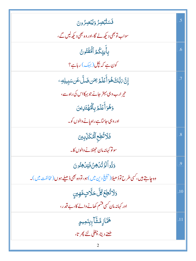| فَسَتُّبۡصِرُ وَيُبۡصِرُونَ                                                         |                 |
|-------------------------------------------------------------------------------------|-----------------|
| سواب تو بھی دیکھ لے گا،اور وہ بھی دیکھ لیں گے ،                                     |                 |
| بِأَيِيِّكُمُ ٱلۡمَٰٓئُونُ                                                          | .6              |
| کون ہے کہ بچل(بہک) رہاہے؟                                                           |                 |
| ٳڹؖٞ؆ڹَڶڰٙۿؙۏٲؙۜڠٙڶۿۯؾڡؘۜڹ؈ؘؘڵؖٴؘڹۺۑؚۑڸڥ                                            | $\overline{.7}$ |
| تیر ارب وہی بہتر جانے جو بہکااس کی راہ سے ،                                         |                 |
| وَهُوَأَعۡلَمُ بِٱلۡفَهۡتَالِينَ                                                    |                 |
| اور وہی جانتاہے راہ پانے والوں کو۔                                                  |                 |
| فَلَاتُّطِعِ ٱلْهُكَّلِّبِينَ                                                       | .8              |
| سونو کہانہ مان حجٹلانے والوں کا۔                                                    |                 |
| <u>وَدُّواًَلَوَ تُّلُ</u> هِنُ فَيُلُهِنُونَ                                       | .9              |
| وه چاہتے ہیں، کسی طرح توڈھیلا( تبلیخ دین میں )ہو، تووہ بھی ڈھیلے ہوں( مخالفت میں )۔ |                 |
| <u>ۘ</u> ۯڷڗ۠ڟؚ <i>ڂ</i> ڴڷٙڂڷؖٲڹ۩ۄؠڹۣ                                              | .10             |
| اور کہانہ مان کسی فتسم کھانے والے کا، بے قدر ،                                      |                 |
| ۿ <i>ۑ</i> ؖٞٵۯؚٟڡٞۺ۠ۜۜٳ <sub>ٵؚؚ</sub> ۑؚڹؘڡؚؠۄٟ                                   | .11             |
| <u>طعنے دیتا، چغلی لئے پھر تا،</u>                                                  |                 |
|                                                                                     |                 |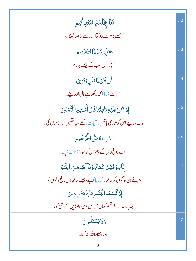| مَّنَّاعِ لِلْكَبْرِ مُغَتَلٍاأَثْيهِ                            | .12 |
|------------------------------------------------------------------|-----|
| بھلے کام سے روکتا، حد سے بڑھتا گنہگار،                           |     |
| ڠ۠ؿؙڸؘؚڹۼ <sub>ؙڶۮ</sub> ؘ۬ڒڸڬؘۯڒۣڹؠۄؚ                           | .13 |
| اُجڈ،اس سب کے پیچھے بلہ نام،                                     |     |
| ۔<br>أَن كَانَذَامَالٍ وَبَنِينَ                                 | .14 |
| اس سے (بنا) کہ رکھتاہے مال اور بیٹے۔                             |     |
| ٳؚۮؘاتُّتۡلَىٰعَلَيۡهِۦٓاؾِتُنَاقَالَ أَسَطِيرُ ٱلۡأَوَّلِينَ    | .15 |
| جب سناسیئے اس کو ہماری باتیں (آیات) کہے، یہ نقلیں ہیں پہلوں کی۔  |     |
| سَنَسِمُهُ عَلَى الْخَرْطُومِ                                    | .16 |
| اب داغ دیں گے ہم اس کو سونڈ (ناک) پر۔                            |     |
| إِنَّابَلَوۡنَهُمۡ كَمَابَلَوۡنَآ أَصۡكَبَٱلۡجُنَّةِ             | .17 |
| ہم نے ان لو گوں کو جانچا( آزمایا) ہے، جیسے جانچااس باغ والوں کو، |     |
| ٳۯ۬ٲٛڎٙٞۘٮؘۺۿۄٲڶؾڞۯؚۿڹؓؠؘٵۿڞؘۑؚڿؾڹ                               |     |
| جب سب نے قسم کھائی کہ اس کامیوہ توڑیں گے صبح کو،                 |     |
| وَلَايَسْتَثْنُونَ                                               | .18 |
| اور انشاءالله نه کها۔                                            |     |
|                                                                  |     |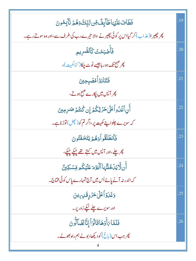| فَطَأْفَ عَلَيْهَاطَآبِفٌّ مِّن تَّاتِّكَ وَهُمَّ نَآبِهُونَ                   | .19 |
|--------------------------------------------------------------------------------|-----|
| پھر پھیرا(عذاب)کر گیااس پر کوئی پھیرنے والا تیرے رب کی طرف سے،اور وہ سوتے رہے۔ |     |
| فَأَصۡبَحَتۡ كَٱلصَّرِيمِ                                                      | .20 |
| پھر صبح تک ہور ہاجیسے ٹوٹ چکا( <sup>کٹا کھ</sup> یت )،                         |     |
| فَتَنَادَوۡاۡمُصۡبِحِینَ                                                       | .21 |
| پھر آ <sup>لپ</sup> ں میں پکارے صبح ہوتے،                                      |     |
| أَنِ ٱغۡدُواۡعَلَىٰحَدۡثِكُمۡ إِن كُنتُمۡ صَدِمِینَ                            | .22 |
| کہ سویرے چلواپنے کھیت پر،اگر تم کو( کچل) توڑناہے۔                              |     |
| فَأَنطَلَقُواْ وَهُمَّ يَتَخَفَتُونَ                                           | .23 |
| پھر چلے،اور آ <sup>ب</sup> س میں کہتے تھے چیکے چیکے،                           |     |
| أَن لَّا يَنْ خُلَّنَّهَا ٱلۡيَوۡمَ عَلَيۡكُم مِّسۡكِينٌ                       | .24 |
| کہ اندر نہ آنے پائےاُس میں آج تمہارے پاس کوئی مختاج۔                           |     |
| <u>وَغَدَوۡآَعَلَىٰ حَرۡدٍقَـٰ</u> بِسِینَ                                     | .25 |
| اور سویرے چلے <u>لیکے</u> زور پر۔                                              |     |
| فَلَمَّا رَأَوُهَا قَالُوَاً إِنَّالَضَالُونَ                                  | .26 |
| پھر جب اس (پاغ) کو دیکھا، بولے ہم راہ بھولے۔                                   |     |
|                                                                                |     |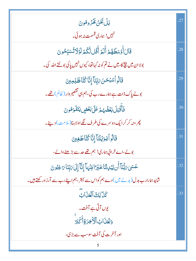| بَلۡ نَحۡنُ كِحۡرُومُونَ                                                              |     |
|---------------------------------------------------------------------------------------|-----|
| نہیں! ہماری قسمت نہ ہو ئی۔                                                            |     |
| قَالَ أَوۡسَطُهُمۡ أَلَمۡ أَقُلللَّكُمۡ لَوۡلَاتُسَتَّحُونَ                           | .28 |
| بولاان میں پیچ کا، میں نے تم کو نہ کہاتھا، کیوں نہیں پاکی بولتے اللہ کی۔              |     |
| قَالُواۡسُبۡحَنَ مَٰتِنَآۤۤ إِنَّاۤ كُتَّاۡظَلِمِینَ                                  | .29 |
| بولے پاک ذات ہے ہمارے رب کی، ہم ہی تقصیر وار ( ظالم ) تھے۔                            |     |
| فَأَقْبَلَ بَعُضُهُمْ عَلَىٰ بَعُضٍ يَتَلَوَهُونَ                                     | .30 |
| پھر منہ کر کر ایک دوسرے کی طرف لگے اولاہنا( ملامت) دینے۔                              |     |
| قَالُواْيَوَيُلَنَاْ إِنَّا كُنَّاطَغِينَ                                             | .31 |
| بولے،اے خرابی ہماری! ہم تھے حد سے بڑھنے والے،                                         |     |
| عَسَىٰ بَابُّنَآ أَن يُبۡلِلنَّا خَيۡرَ القِنۡهَآ إِنَّآ إِلَىٰ بَابِّنَا بَا غِبُونَ | .32 |
| شاید ہمارارب بدل (بدلے میں ) دے ہم کواس سے بہتر ،ہم اپنے رب سے آرز ورکھتے ہیں۔        |     |
| كَنَا لِكَ ٱلْعَذَابُ                                                                 | .33 |
| یوں آتی ہے آفت۔                                                                       |     |
| وَلَعَنَ ابِ ٱلْأَخِرَةِ أَكْبَرُ                                                     |     |
| اور آخرت کی آفت <i>سوسب سے بڑ</i> ی،                                                  |     |
| 5                                                                                     |     |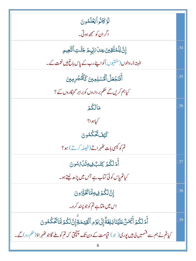| لَوۡكَانُواۡيَعۡلَمُونَ                                                                                 |     |
|---------------------------------------------------------------------------------------------------------|-----|
| اگران کو سمجھ ہوتی۔                                                                                     |     |
| ؚٳڹؘؖ <i>ٳ</i> ڶٙڵۿؾؖٞقؚؾؾ؏ڹڶ؆ؚؠۨ؋ڞٙڿۜڷؾؚٵۘڶڹ <sub>ؖۜٞ</sub> ۼؠۄؚ                                       | .34 |
| البتہ ڈر والوں (متفیّوں ) کو اپنے رب کے پاس باغ ہیں نعمت کے۔                                            |     |
| أَفَنَجُعَلُ ٱلْمُسْلِمِينَ كَٱلْمُجْرِمِينَ                                                            | .35 |
| کیاہم کریں گے حکم بر داروں کو بر ابر گنہگاروں کے ؟                                                      |     |
| مَالِكُمْ                                                                                               | .36 |
| کیاہوا؟                                                                                                 |     |
| كَيْفَ تَحْكُمُونَ                                                                                      |     |
| تم کو کیسی بات کٹھراتے (فیصلہ کرتے ) ہو؟                                                                |     |
| أَمْرِلَكُمْ كِتَبَّ فِيهِ تَلْ مُسُونَ                                                                 | .37 |
| کیاتم پاس کوئی کتاب ہے جس میں پڑھ لیتے ہو۔                                                              |     |
| إِنَّ لَكُمْ فِيهِ لَهَا تَخَبَّرُونَ                                                                   | .38 |
| اس میں ملتاہے تم کو جو پسند کر و۔                                                                       |     |
| أَمَّ لَكُمۡ أَيۡمَنَّ عَلَيۡنَاۚ بَلِغَةٌۚ إِلَىٰ يَوۡمِ ٱلۡقِيَّمَةُۚ إِنَّ لَكُمۡ لَمَا تَّحَكُمُونَ | .39 |
| کیاتم نے ہم سے قسمیں لی ہیں پوری( جو) قیامت کے دن تک پہنچق کہ تم کو ملے گاجو ٹھہر اؤ( حکم دو) گے۔       |     |
|                                                                                                         |     |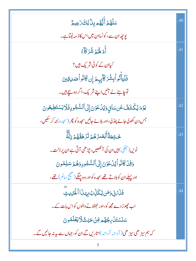| <i>ۺ</i> ڶۿؙؽٙٲؙؾ۠ۿ۠ۄۑؚڹ <i>ٙ</i> ٚڶڸڰؘۯؘۼۣۑۄ۠                               | .40 |
|------------------------------------------------------------------------------|-----|
| یوچھ ان سے،کونساان میں اس کاذ مہ لیتاہے۔                                     |     |
| أَمْ لَهُمْ شُرَكَاءُ                                                        | .41 |
| کیاان کے کوئی شریک ہیں؟                                                      |     |
| فَلۡيَأۡتُوۡاۡنِشُرَكَآبِہِمۡۚ إِن كَانُواۡاَصَلِقِينَ                       |     |
| توجاہئے لے آئیں اپنے شریک،اگر وہ سچے ہیں۔                                    |     |
| يَوۡمَ يُكۡشَفُ عَن سَائِ وَيُدۡكَوۡنَ إِلَى ٱلسُّجُودِ فَلَا يَسۡتَطِيعُونَ | .42 |
| جس دن کھولی جائے پنڈلی،اور بلائے <i>جائیں سجد</i> ہ کو پھر (سجدہ)نہ کر سکیں، |     |
| ڂۺ <b>۫</b> ۼؘڐؘٲٚڹؖؗۻٙۯۿ۠ <sub>ڡٛ</sub> ۯڐؘۯٙۿڦۢۿ۠ۄۢٙڔ۫ڵؖڎؖۧ                | .43 |
| نویں( جھکی) ہیں ان کی آنکھیں، چڑھی آتی ہے ان پر ذلت۔                         |     |
| وَقَلْ كَانُواً يُلْعَوْنَ إِلَى السُّجُودِ وَهُمَّ سَلِمُونَ                |     |
| اور پہلے ان کو بلاتے تھے سجدہ کواور وہ جنگے (صحیح سالم) تھے،                 |     |
| فَلَهَٰنِى وَمَن يُكَلِّبُ بِهَذَا ٱلْحَرِّيثِ                               | .44 |
| اب چھوڑ دے مجھ کو،اور حجٹلانے والوں کواس بات کے۔                             |     |
| <i>ڛؘ</i> ڹٙۺؾؘڶؙ <i>ڹ؋ۿۿ</i> ۄڡؚۨڹۘڂؿٙٮؿ۠ڷٳؾۼٙڶۿۅڹ                          |     |
| کہ ہم سیڑ ھی سیڑ ھی ( آہتیہ آہتیہ )اتاریں گے ان کو، جہاں سے بیرنہ جانیں گے۔  |     |
|                                                                              |     |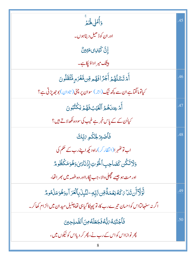| وَأُمَلِ لَهَ يَرَ                                                                     | .45 |
|----------------------------------------------------------------------------------------|-----|
| اور ان کوڈ ھیل دیتاہوں۔                                                                |     |
| إِنَّ كَيْلِى مَتِينَّ                                                                 |     |
| بیشک میر اداؤریاہے۔                                                                    |     |
| أَمَّ تَسَّلُهُمَّ أَجْرًا فَهُم مِّن مَّغْرَمٍ مُّتَٰقَلُونَ                          | .46 |
| کیاتومانگماہے ان سے کچھ نیگ (اجر) سوان پر چٹی ( تاوان ) بو جھ پڑتی ہے ؟                |     |
| أَمَّ عِندَهُمُ ٱلْغَيَّبُ فَهُمَّ يَكُثُبُونَ                                         | .47 |
| کیااُن کے کے پاس خبر ہے غیب کی سووہ لکھالاتے ہیں؟                                      |     |
| فَأَصۡبِرۡ لِحُكَمِ يَٰلِّكَ                                                           | .48 |
| اب تو کٹھہر ا(انتظار کر)راہ دیکھ اپنے رب کے حکم کی                                     |     |
| وَلَاتَكُن كَصَاحِبِ ٱلْحُوتِ إِذَنَادَىٰ وَهُوَمَكَظُومٌ                              |     |
| اور مت ہو جيسے مچھلی دال <sub>ا</sub> ، جب <sub>لُی</sub> کارااور وہ غصہ میں بھر اتھا، |     |
| ڵؖۏؙٳۜۮٚٲؘڹؾؘڹٵ؆ػڡؙڹۼڡؘۃۨ۠ۊڹ؆ڸؚۜڢؚ۩ڵڹؙؠؚڶؘۛۑؚٲڶۘڠڗٵۧۦؚۏۿؙۏڡؘۮ۬ۿۅۿ                      | .49 |
| اگر نہ سنھالیااس کواحسان تیرے رب کا، تو پھینکا گیاہی تھاچٹیل مید ان میں الزام کھاکر۔   |     |
| فَٱجۡتَبَـٰهُۥَٱبُّٰهُۥفَجَعَلَهُۥمِنَٱلصَّـٰلِحِينَ                                   | .50 |
| پھر نوازااس کواس <i>کے د</i> ب نے، پھر کر دیااس کو نیکوں میں،                          |     |
|                                                                                        |     |